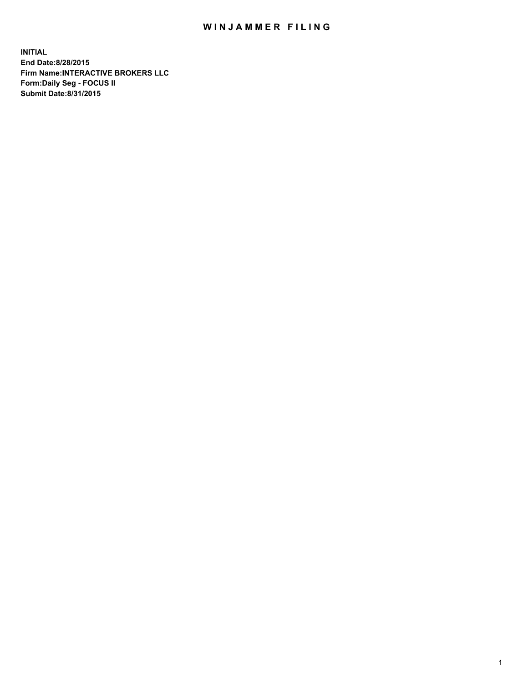## WIN JAMMER FILING

**INITIAL End Date:8/28/2015 Firm Name:INTERACTIVE BROKERS LLC Form:Daily Seg - FOCUS II Submit Date:8/31/2015**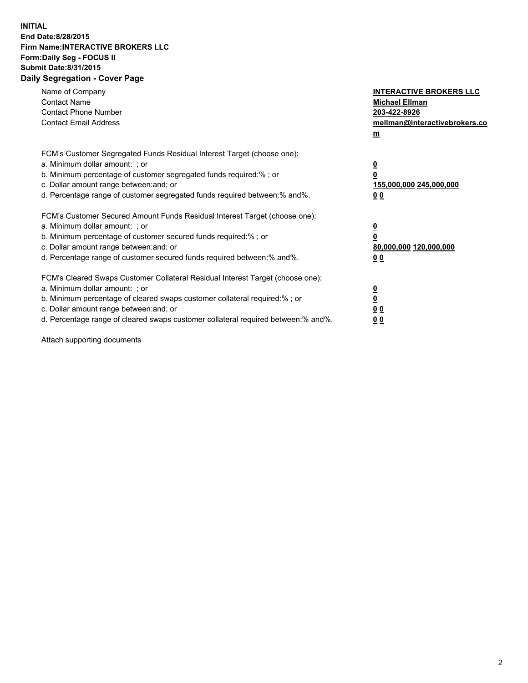## **INITIAL End Date:8/28/2015 Firm Name:INTERACTIVE BROKERS LLC Form:Daily Seg - FOCUS II Submit Date:8/31/2015 Daily Segregation - Cover Page**

| Name of Company<br><b>Contact Name</b><br><b>Contact Phone Number</b><br><b>Contact Email Address</b>                                                                                                                                                                                                                          | <b>INTERACTIVE BROKERS LLC</b><br><b>Michael Ellman</b><br>203-422-8926<br>mellman@interactivebrokers.co<br>$m$ |
|--------------------------------------------------------------------------------------------------------------------------------------------------------------------------------------------------------------------------------------------------------------------------------------------------------------------------------|-----------------------------------------------------------------------------------------------------------------|
| FCM's Customer Segregated Funds Residual Interest Target (choose one):<br>a. Minimum dollar amount: ; or<br>b. Minimum percentage of customer segregated funds required:% ; or<br>c. Dollar amount range between: and; or<br>d. Percentage range of customer segregated funds required between: % and %.                       | $\overline{\mathbf{0}}$<br>0<br>155,000,000 245,000,000<br>00                                                   |
| FCM's Customer Secured Amount Funds Residual Interest Target (choose one):<br>a. Minimum dollar amount: ; or<br>b. Minimum percentage of customer secured funds required:%; or<br>c. Dollar amount range between: and; or<br>d. Percentage range of customer secured funds required between: % and %.                          | $\overline{\mathbf{0}}$<br>0<br>80,000,000 120,000,000<br>0 <sub>0</sub>                                        |
| FCM's Cleared Swaps Customer Collateral Residual Interest Target (choose one):<br>a. Minimum dollar amount: ; or<br>b. Minimum percentage of cleared swaps customer collateral required:% ; or<br>c. Dollar amount range between: and; or<br>d. Percentage range of cleared swaps customer collateral required between:% and%. | $\overline{\mathbf{0}}$<br>$\underline{\mathbf{0}}$<br>0 <sub>0</sub><br>0 <sub>0</sub>                         |

Attach supporting documents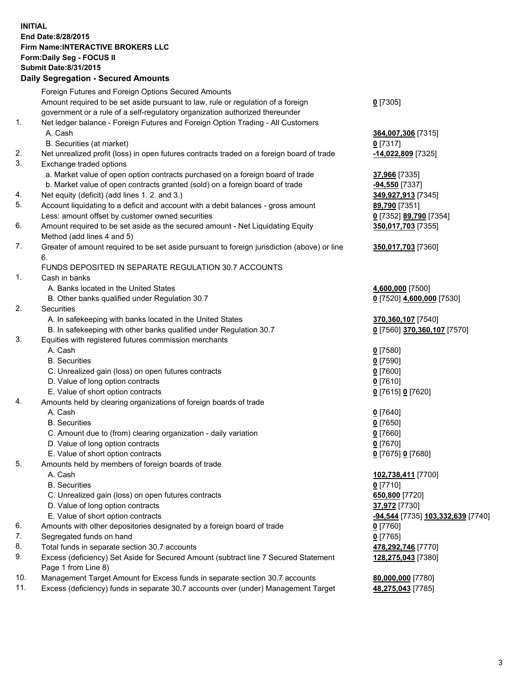## **INITIAL End Date:8/28/2015 Firm Name:INTERACTIVE BROKERS LLC Form:Daily Seg - FOCUS II Submit Date:8/31/2015 Daily Segregation - Secured Amounts**

|     | Daily Segregation - Secured Amounts                                                                        |                                   |
|-----|------------------------------------------------------------------------------------------------------------|-----------------------------------|
|     | Foreign Futures and Foreign Options Secured Amounts                                                        |                                   |
|     | Amount required to be set aside pursuant to law, rule or regulation of a foreign                           | $0$ [7305]                        |
|     | government or a rule of a self-regulatory organization authorized thereunder                               |                                   |
| 1.  | Net ledger balance - Foreign Futures and Foreign Option Trading - All Customers                            |                                   |
|     | A. Cash                                                                                                    | 364,007,306 [7315]                |
|     | B. Securities (at market)                                                                                  | $0$ [7317]                        |
| 2.  | Net unrealized profit (loss) in open futures contracts traded on a foreign board of trade                  | -14,022,809 [7325]                |
| 3.  | Exchange traded options                                                                                    |                                   |
|     | a. Market value of open option contracts purchased on a foreign board of trade                             | 37,966 [7335]                     |
|     | b. Market value of open contracts granted (sold) on a foreign board of trade                               | <b>-94,550</b> [7337]             |
| 4.  | Net equity (deficit) (add lines 1.2. and 3.)                                                               | 349,927,913 [7345]                |
| 5.  | Account liquidating to a deficit and account with a debit balances - gross amount                          | 89,790 [7351]                     |
|     | Less: amount offset by customer owned securities                                                           | 0 [7352] 89,790 [7354]            |
| 6.  | Amount required to be set aside as the secured amount - Net Liquidating Equity                             | 350,017,703 [7355]                |
|     | Method (add lines 4 and 5)                                                                                 |                                   |
| 7.  | Greater of amount required to be set aside pursuant to foreign jurisdiction (above) or line                | 350,017,703 [7360]                |
|     | 6.                                                                                                         |                                   |
|     | FUNDS DEPOSITED IN SEPARATE REGULATION 30.7 ACCOUNTS                                                       |                                   |
| 1.  | Cash in banks                                                                                              |                                   |
|     | A. Banks located in the United States                                                                      | 4,600,000 [7500]                  |
|     | B. Other banks qualified under Regulation 30.7                                                             | 0 [7520] 4,600,000 [7530]         |
| 2.  | Securities                                                                                                 |                                   |
|     | A. In safekeeping with banks located in the United States                                                  | 370,360,107 [7540]                |
|     | B. In safekeeping with other banks qualified under Regulation 30.7                                         | 0 [7560] 370,360,107 [7570]       |
| 3.  | Equities with registered futures commission merchants                                                      |                                   |
|     | A. Cash                                                                                                    | $0$ [7580]                        |
|     | <b>B.</b> Securities                                                                                       | $0$ [7590]                        |
|     | C. Unrealized gain (loss) on open futures contracts                                                        | $0$ [7600]                        |
|     | D. Value of long option contracts                                                                          | $0$ [7610]                        |
|     | E. Value of short option contracts                                                                         | 0 [7615] 0 [7620]                 |
| 4.  | Amounts held by clearing organizations of foreign boards of trade                                          |                                   |
|     | A. Cash                                                                                                    | $0$ [7640]                        |
|     | <b>B.</b> Securities                                                                                       | $0$ [7650]                        |
|     | C. Amount due to (from) clearing organization - daily variation                                            | $0$ [7660]                        |
|     | D. Value of long option contracts                                                                          | $0$ [7670]                        |
|     | E. Value of short option contracts                                                                         | 0 [7675] 0 [7680]                 |
| 5.  | Amounts held by members of foreign boards of trade                                                         |                                   |
|     | A. Cash                                                                                                    | 102,738,411 [7700]                |
|     | <b>B.</b> Securities                                                                                       | $0$ [7710]                        |
|     | C. Unrealized gain (loss) on open futures contracts                                                        | 650,800 [7720]                    |
|     | D. Value of long option contracts                                                                          | 37,972 [7730]                     |
|     | E. Value of short option contracts                                                                         | -94,544 [7735] 103,332,639 [7740] |
| 6.  | Amounts with other depositories designated by a foreign board of trade                                     | $0$ [7760]                        |
| 7.  | Segregated funds on hand                                                                                   | $0$ [7765]                        |
| 8.  | Total funds in separate section 30.7 accounts                                                              | 478,292,746 [7770]                |
| 9.  | Excess (deficiency) Set Aside for Secured Amount (subtract line 7 Secured Statement<br>Page 1 from Line 8) | 128,275,043 [7380]                |
| 10. | Management Target Amount for Excess funds in separate section 30.7 accounts                                | 80,000,000 [7780]                 |
| 11. | Excess (deficiency) funds in separate 30.7 accounts over (under) Management Target                         | 48,275,043 [7785]                 |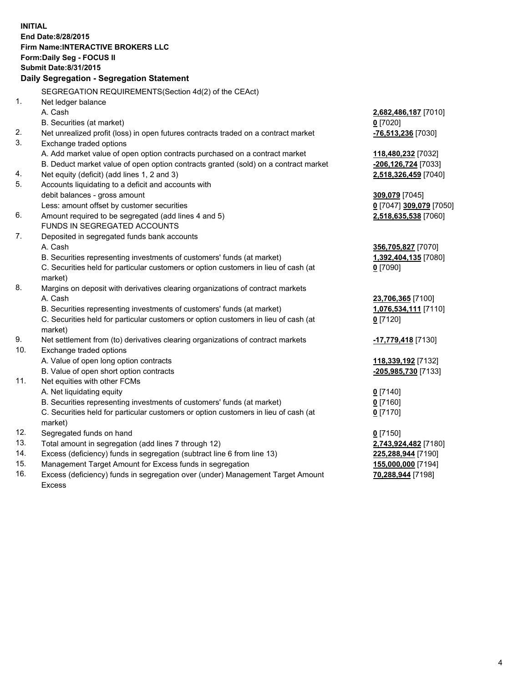**INITIAL End Date:8/28/2015 Firm Name:INTERACTIVE BROKERS LLC Form:Daily Seg - FOCUS II Submit Date:8/31/2015 Daily Segregation - Segregation Statement** SEGREGATION REQUIREMENTS(Section 4d(2) of the CEAct) 1. Net ledger balance A. Cash **2,682,486,187** [7010] B. Securities (at market) **0** [7020] 2. Net unrealized profit (loss) in open futures contracts traded on a contract market **-76,513,236** [7030] 3. Exchange traded options A. Add market value of open option contracts purchased on a contract market **118,480,232** [7032] B. Deduct market value of open option contracts granted (sold) on a contract market **-206,126,724** [7033] 4. Net equity (deficit) (add lines 1, 2 and 3) **2,518,326,459** [7040] 5. Accounts liquidating to a deficit and accounts with debit balances - gross amount **309,079** [7045] Less: amount offset by customer securities **0** [7047] **309,079** [7050] 6. Amount required to be segregated (add lines 4 and 5) **2,518,635,538** [7060] FUNDS IN SEGREGATED ACCOUNTS 7. Deposited in segregated funds bank accounts A. Cash **356,705,827** [7070] B. Securities representing investments of customers' funds (at market) **1,392,404,135** [7080] C. Securities held for particular customers or option customers in lieu of cash (at market) **0** [7090] 8. Margins on deposit with derivatives clearing organizations of contract markets A. Cash **23,706,365** [7100] B. Securities representing investments of customers' funds (at market) **1,076,534,111** [7110] C. Securities held for particular customers or option customers in lieu of cash (at market) **0** [7120] 9. Net settlement from (to) derivatives clearing organizations of contract markets **-17,779,418** [7130] 10. Exchange traded options A. Value of open long option contracts **118,339,192** [7132] B. Value of open short option contracts **-205,985,730** [7133] 11. Net equities with other FCMs A. Net liquidating equity **0** [7140] B. Securities representing investments of customers' funds (at market) **0** [7160] C. Securities held for particular customers or option customers in lieu of cash (at market) **0** [7170] 12. Segregated funds on hand **0** [7150] 13. Total amount in segregation (add lines 7 through 12) **2,743,924,482** [7180] 14. Excess (deficiency) funds in segregation (subtract line 6 from line 13) **225,288,944** [7190] 15. Management Target Amount for Excess funds in segregation **155,000,000** [7194] **70,288,944** [7198]

16. Excess (deficiency) funds in segregation over (under) Management Target Amount Excess